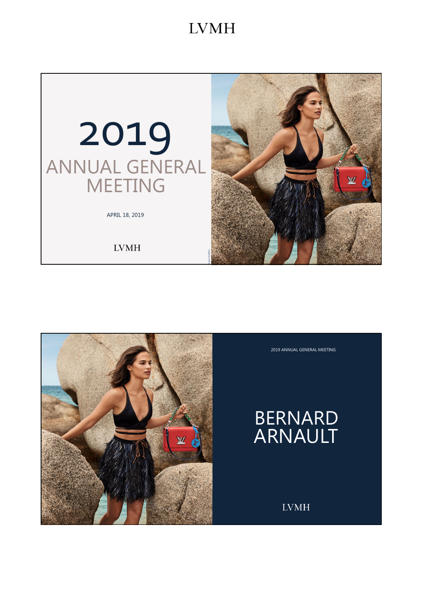



2019 ANNUAL GENERAL MEETING

# BERNARD ARNAULT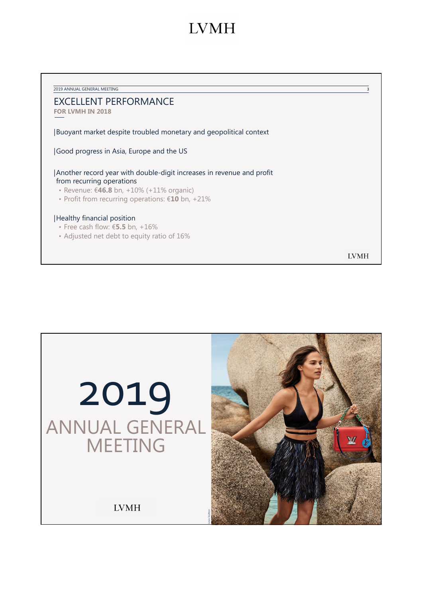2019 ANNUAL GENERAL MEETING 3 EXCELLENT PERFORMANCE **FOR LVMH IN 2018** |Buoyant market despite troubled monetary and geopolitical context |Good progress in Asia, Europe and the US |Another record year with double-digit increases in revenue and profit from recurring operations • Revenue: €**46.8** bn, +10% (+11% organic) • Profit from recurring operations: €**10** bn, +21% |Healthy financial position • Free cash flow: €**5.5** bn, +16% • Adjusted net debt to equity ratio of 16% **LVMH** 

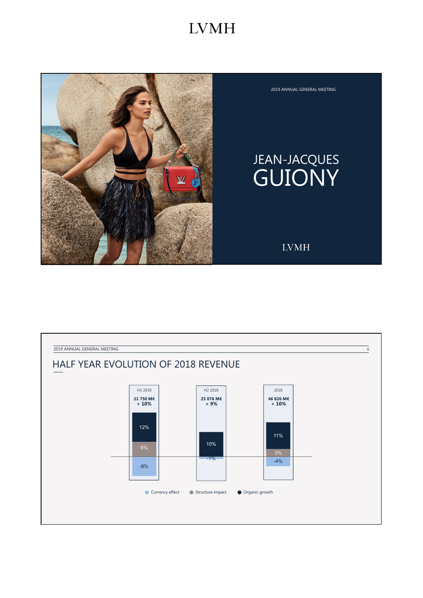

#### 2019 ANNUAL GENERAL MEETING

# JEAN-JACQUES GUIONY

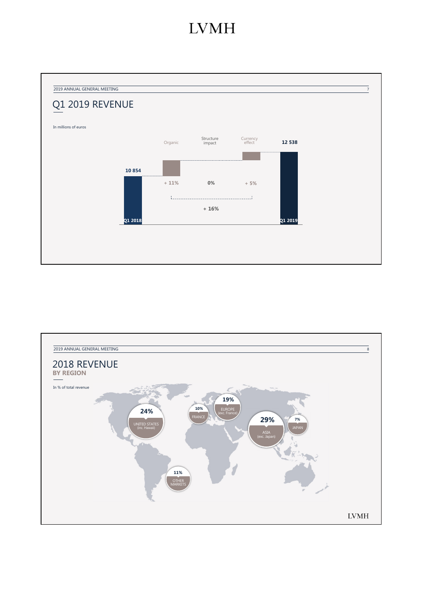

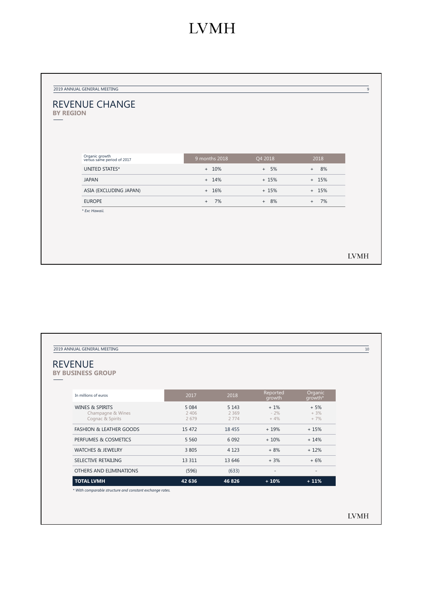| <b>REVENUE CHANGE</b><br><b>BY REGION</b><br>Organic growth<br>versus same period of 2017<br>9 months 2018<br>Q4 2018<br>2018<br>UNITED STATES*<br>$+ 10%$<br>$+ 5\%$<br>$+ 8\%$<br><b>JAPAN</b><br>$+ 14%$<br>$+15%$<br>$+ 15%$<br>ASIA (EXCLUDING JAPAN)<br>$+ 16%$<br>$+15%$<br>$+ 15%$<br><b>EUROPE</b><br>$+ 8%$<br>$+ 7\%$<br>7%<br>$+$<br>* Exc Hawaii. | 2019 ANNUAL GENERAL MEETING |  |  |
|----------------------------------------------------------------------------------------------------------------------------------------------------------------------------------------------------------------------------------------------------------------------------------------------------------------------------------------------------------------|-----------------------------|--|--|
|                                                                                                                                                                                                                                                                                                                                                                |                             |  |  |
|                                                                                                                                                                                                                                                                                                                                                                |                             |  |  |
|                                                                                                                                                                                                                                                                                                                                                                |                             |  |  |
|                                                                                                                                                                                                                                                                                                                                                                |                             |  |  |
|                                                                                                                                                                                                                                                                                                                                                                |                             |  |  |
|                                                                                                                                                                                                                                                                                                                                                                |                             |  |  |
|                                                                                                                                                                                                                                                                                                                                                                |                             |  |  |
|                                                                                                                                                                                                                                                                                                                                                                |                             |  |  |
|                                                                                                                                                                                                                                                                                                                                                                |                             |  |  |
|                                                                                                                                                                                                                                                                                                                                                                |                             |  |  |
|                                                                                                                                                                                                                                                                                                                                                                |                             |  |  |
|                                                                                                                                                                                                                                                                                                                                                                |                             |  |  |
|                                                                                                                                                                                                                                                                                                                                                                |                             |  |  |

| <b>REVENUE</b><br><b>BY BUSINESS GROUP</b>                          |                            |                            |                          |                         |
|---------------------------------------------------------------------|----------------------------|----------------------------|--------------------------|-------------------------|
|                                                                     |                            |                            |                          |                         |
| In millions of euros                                                | 2017                       | 2018                       | Reported<br>growth       | Organic<br>growth*      |
| <b>WINES &amp; SPIRITS</b><br>Champagne & Wines<br>Cognac & Spirits | 5 0 8 4<br>2 4 0 6<br>2679 | 5 1 4 3<br>2 3 6 9<br>2774 | $+1\%$<br>$-2%$<br>$+4%$ | $+5%$<br>$+3%$<br>$+7%$ |
| <b>FASHION &amp; LEATHER GOODS</b>                                  | 15 472                     | 18 4 5 5                   | $+19%$                   | $+15%$                  |
| PERFUMES & COSMETICS                                                | 5 5 6 0                    | 6 0 9 2                    | $+10%$                   | $+14%$                  |
| <b>WATCHES &amp; JEWELRY</b>                                        | 3 8 0 5                    | 4 1 2 3                    | $+8%$                    | $+12%$                  |
| SELECTIVE RETAILING                                                 | 13 311                     | 13 646                     | $+3%$                    | $+6%$                   |
| OTHERS AND ELIMINATIONS                                             | (596)                      | (633)                      |                          | ٠                       |
| <b>TOTAL LVMH</b>                                                   | 42 636                     | 46 8 26                    | $+10%$                   | $+11%$                  |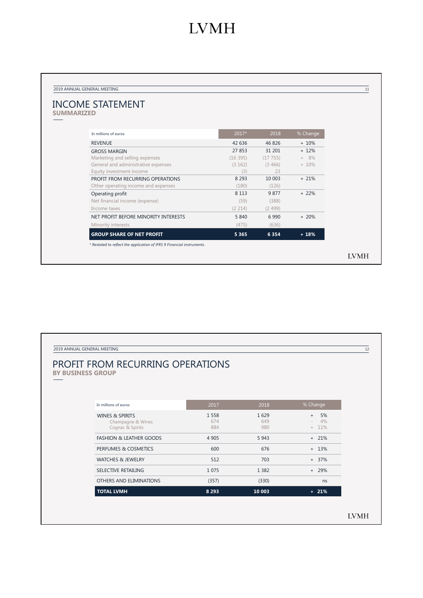| <b>INCOME STATEMENT</b>              |         |          |          |
|--------------------------------------|---------|----------|----------|
| <b>SUMMARIZED</b>                    |         |          |          |
|                                      |         |          |          |
| In millions of euros                 | $2017*$ | 2018     | % Change |
| <b>REVENUE</b>                       | 42 63 6 | 46 826   | $+10%$   |
| <b>GROSS MARGIN</b>                  | 27 853  | 31 201   | $+ 12%$  |
| Marketing and selling expenses       | (16395) | (17755)  | $+ 8\%$  |
| General and administrative expenses  | (3 162) | (3, 466) | $+10%$   |
| Equity investment income             | (3)     | 23       |          |
| PROFIT FROM RECURRING OPERATIONS     | 8 2 9 3 | 10 003   | $+21%$   |
| Other operating income and expenses  | (180)   | (126)    |          |
| Operating profit                     | 8 1 1 3 | 9877     | $+22%$   |
| Net financial income (expense)       | (59)    | (388)    |          |
| Income taxes                         | (2 214) | (2499)   |          |
| NET PROFIT BEFORE MINORITY INTERESTS | 5 840   | 6990     | $+20%$   |
| Minority interests                   | (475)   | (636)    |          |
| <b>GROUP SHARE OF NET PROFIT</b>     | 5 3 6 5 | 6 3 5 4  | $+18%$   |

| <b>PROFIT FROM RECURRING OPERATIONS</b><br><b>BY BUSINESS GROUP</b> |                       |                    |                                      |
|---------------------------------------------------------------------|-----------------------|--------------------|--------------------------------------|
|                                                                     |                       |                    |                                      |
| In millions of euros                                                | 2017                  | 2018               | % Change                             |
| <b>WINES &amp; SPIRITS</b><br>Champagne & Wines<br>Cognac & Spirits | 1 5 5 8<br>674<br>884 | 1629<br>649<br>980 | 5%<br>$+$<br>4%<br>$\sim$<br>$+ 11%$ |
| <b>FASHION &amp; LEATHER GOODS</b>                                  | 4 9 0 5               | 5943               | $+ 21%$                              |
| PERFUMES & COSMETICS                                                | 600                   | 676                | $+ 13%$                              |
| <b>WATCHES &amp; JEWELRY</b>                                        | 512                   | 703                | $+ 37%$                              |
| SELECTIVE RETAILING                                                 | 1 0 7 5               | 1 3 8 2            | $+ 29%$                              |
| OTHERS AND ELIMINATIONS                                             | (357)                 | (330)              | ns                                   |
| <b>TOTAL LVMH</b>                                                   | 8 2 9 3               | 10 003             | $+ 21%$                              |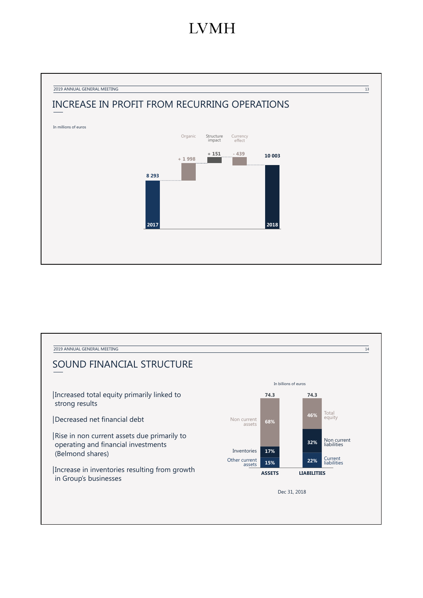

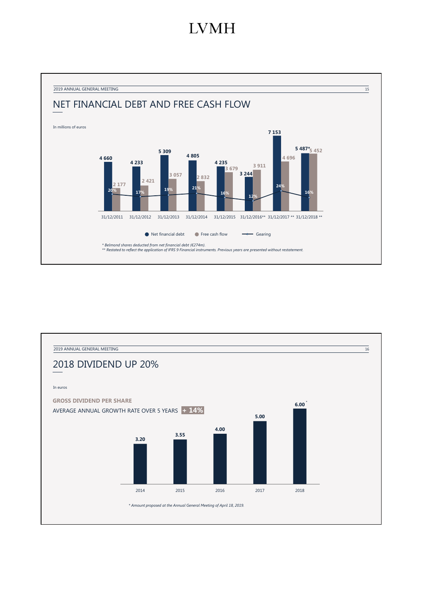

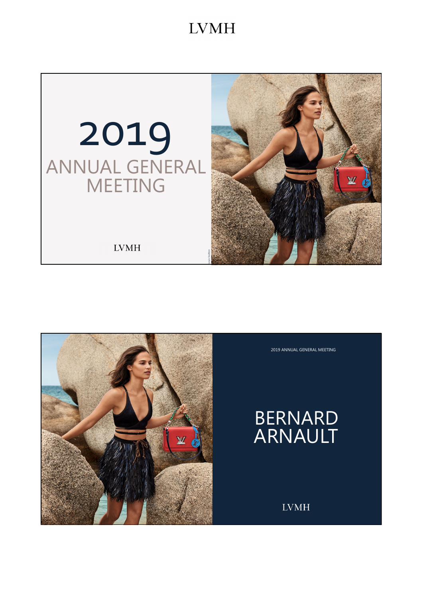

2019 ANNUAL GENERAL MEETING

BERNARD ARNAULT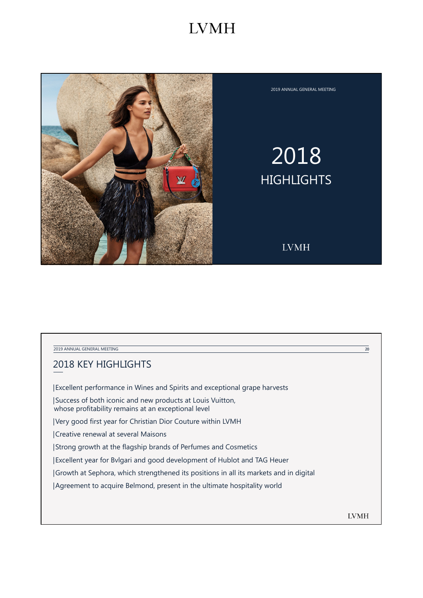

2019 ANNUAL GENERAL MEETING

# 2018 **HIGHLIGHTS**

**LVMH** 

2019 ANNUAL GENERAL MEETING 20

## 2018 KEY HIGHLIGHTS

|Excellent performance in Wines and Spirits and exceptional grape harvests

|Success of both iconic and new products at Louis Vuitton, whose profitability remains at an exceptional level

|Very good first year for Christian Dior Couture within LVMH

|Creative renewal at several Maisons

|Strong growth at the flagship brands of Perfumes and Cosmetics

|Excellent year for Bvlgari and good development of Hublot and TAG Heuer

|Growth at Sephora, which strengthened its positions in all its markets and in digital

|Agreement to acquire Belmond, present in the ultimate hospitality world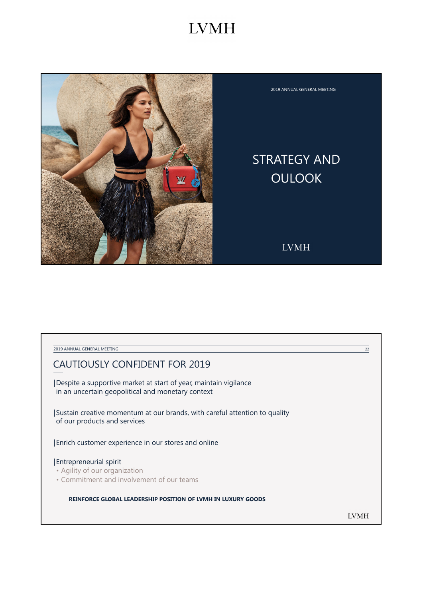

2019 ANNUAL GENERAL MEETING

## STRATEGY AND OULOOK

**LVMH** 

2019 ANNUAL GENERAL MEETING 22

## CAUTIOUSLY CONFIDENT FOR 2019

|Despite a supportive market at start of year, maintain vigilance in an uncertain geopolitical and monetary context

|Sustain creative momentum at our brands, with careful attention to quality of our products and services

|Enrich customer experience in our stores and online

#### |Entrepreneurial spirit

- Agility of our organization
- Commitment and involvement of our teams

**REINFORCE GLOBAL LEADERSHIP POSITION OF LVMH IN LUXURY GOODS**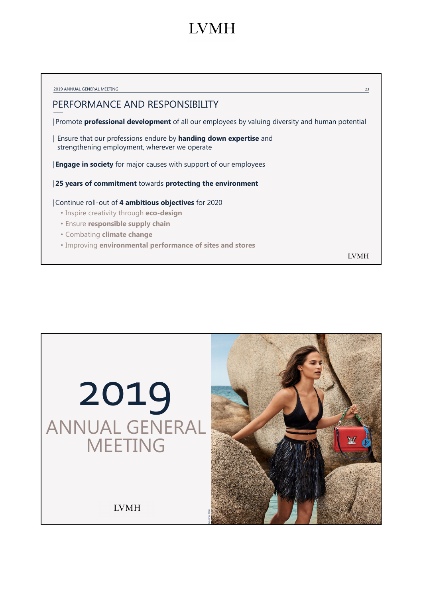| 2019 ANNUAL GENERAL MEETING                                                                                              | 23 |
|--------------------------------------------------------------------------------------------------------------------------|----|
| PERFORMANCE AND RESPONSIBILITY                                                                                           |    |
| Promote <b>professional development</b> of all our employees by valuing diversity and human potential                    |    |
| Ensure that our professions endure by <b>handing down expertise</b> and<br>strengthening employment, wherever we operate |    |
| <b>Engage in society</b> for major causes with support of our employees                                                  |    |
| 25 years of commitment towards protecting the environment                                                                |    |
| Continue roll-out of 4 ambitious objectives for 2020                                                                     |    |
| • Inspire creativity through <b>eco-design</b>                                                                           |    |
| <b>• Ensure responsible supply chain</b>                                                                                 |    |
| • Combating climate change                                                                                               |    |
| . Improving environmental performance of sites and stores                                                                |    |
|                                                                                                                          |    |

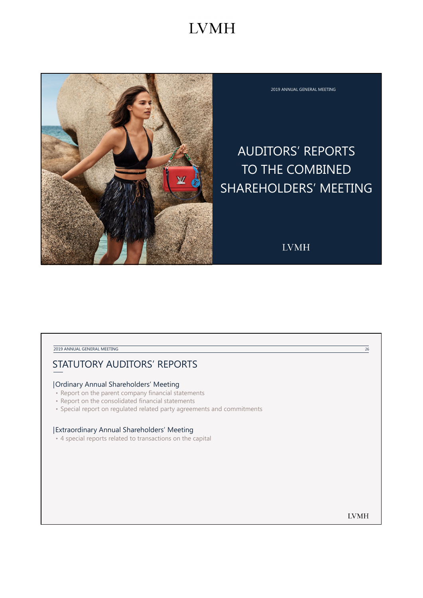

2019 ANNUAL GENERAL MEETING

## AUDITORS' REPORTS TO THE COMBINED SHAREHOLDERS' MEETING

**LVMH** 

#### 2019 ANNUAL GENERAL MEETING 26

## STATUTORY AUDITORS' REPORTS

### |Ordinary Annual Shareholders' Meeting

- Report on the parent company financial statements
- Report on the consolidated financial statements
- Special report on regulated related party agreements and commitments

#### |Extraordinary Annual Shareholders' Meeting

• 4 special reports related to transactions on the capital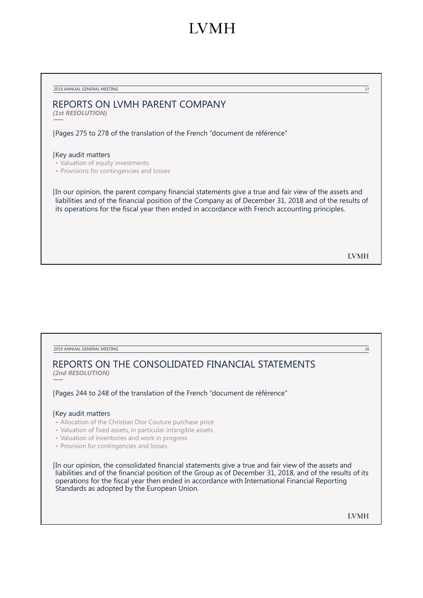## **IVMH**

2019 ANNUAL GENERAL MEETING 27

## REPORTS ON LVMH PARENT COMPANY

*(1st RESOLUTION)*

|Pages 275 to 278 of the translation of the French "document de référence"

#### |Key audit matters

• Valuation of equity investments

• Provisions for contingencies and losses

|In our opinion, the parent company financial statements give a true and fair view of the assets and liabilities and of the financial position of the Company as of December 31, 2018 and of the results of its operations for the fiscal year then ended in accordance with French accounting principles.

**LVMH** 

2019 ANNUAL GENERAL MEETING 28

## REPORTS ON THE CONSOLIDATED FINANCIAL STATEMENTS *(2nd RESOLUTION)*

|Pages 244 to 248 of the translation of the French "document de référence"

#### |Key audit matters

- Allocation of the Christian Dior Couture purchase price
- Valuation of fixed assets, in particular intangible assets
- Valuation of inventories and work in progress
- Provision for contingencies and losses

|In our opinion, the consolidated financial statements give a true and fair view of the assets and liabilities and of the financial position of the Group as of December 31, 2018, and of the results of its operations for the fiscal year then ended in accordance with International Financial Reporting Standards as adopted by the European Union.